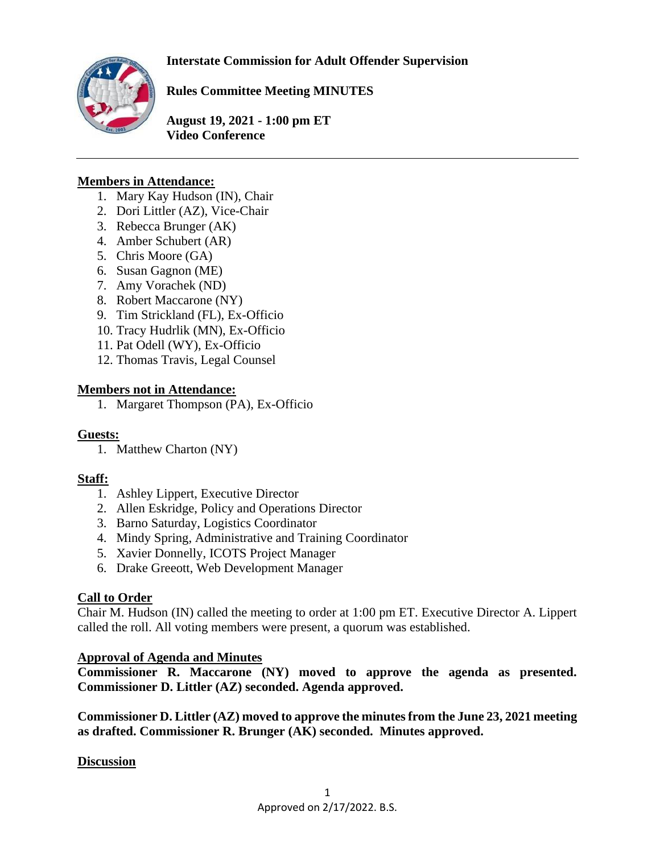**Interstate Commission for Adult Offender Supervision**



**Rules Committee Meeting MINUTES**

**August 19, 2021 - 1:00 pm ET Video Conference** 

#### **Members in Attendance:**

- 1. Mary Kay Hudson (IN), Chair
- 2. Dori Littler (AZ), Vice-Chair
- 3. Rebecca Brunger (AK)
- 4. Amber Schubert (AR)
- 5. Chris Moore (GA)
- 6. Susan Gagnon (ME)
- 7. Amy Vorachek (ND)
- 8. Robert Maccarone (NY)
- 9. Tim Strickland (FL), Ex-Officio
- 10. Tracy Hudrlik (MN), Ex-Officio
- 11. Pat Odell (WY), Ex-Officio
- 12. Thomas Travis, Legal Counsel

#### **Members not in Attendance:**

1. Margaret Thompson (PA), Ex-Officio

#### **Guests:**

1. Matthew Charton (NY)

#### **Staff:**

- 1. Ashley Lippert, Executive Director
- 2. Allen Eskridge, Policy and Operations Director
- 3. Barno Saturday, Logistics Coordinator
- 4. Mindy Spring, Administrative and Training Coordinator
- 5. Xavier Donnelly, ICOTS Project Manager
- 6. Drake Greeott, Web Development Manager

## **Call to Order**

Chair M. Hudson (IN) called the meeting to order at 1:00 pm ET. Executive Director A. Lippert called the roll. All voting members were present, a quorum was established.

#### **Approval of Agenda and Minutes**

**Commissioner R. Maccarone (NY) moved to approve the agenda as presented. Commissioner D. Littler (AZ) seconded. Agenda approved.** 

**Commissioner D. Littler (AZ) moved to approve the minutes from the June 23, 2021 meeting as drafted. Commissioner R. Brunger (AK) seconded. Minutes approved.** 

#### **Discussion**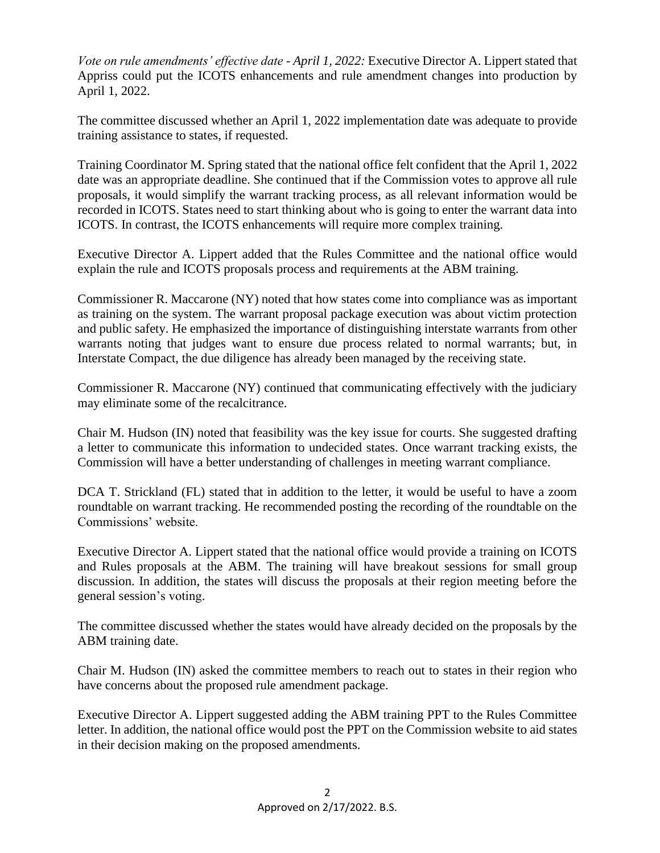*Vote on rule amendments' effective date - April 1, 2022:* Executive Director A. Lippert stated that Appriss could put the ICOTS enhancements and rule amendment changes into production by April 1, 2022.

The committee discussed whether an April 1, 2022 implementation date was adequate to provide training assistance to states, if requested.

Training Coordinator M. Spring stated that the national office felt confident that the April 1, 2022 date was an appropriate deadline. She continued that if the Commission votes to approve all rule proposals, it would simplify the warrant tracking process, as all relevant information would be recorded in ICOTS. States need to start thinking about who is going to enter the warrant data into ICOTS. In contrast, the ICOTS enhancements will require more complex training.

Executive Director A. Lippert added that the Rules Committee and the national office would explain the rule and ICOTS proposals process and requirements at the ABM training.

Commissioner R. Maccarone (NY) noted that how states come into compliance was as important as training on the system. The warrant proposal package execution was about victim protection and public safety. He emphasized the importance of distinguishing interstate warrants from other warrants noting that judges want to ensure due process related to normal warrants; but, in Interstate Compact, the due diligence has already been managed by the receiving state.

Commissioner R. Maccarone (NY) continued that communicating effectively with the judiciary may eliminate some of the recalcitrance.

Chair M. Hudson (IN) noted that feasibility was the key issue for courts. She suggested drafting a letter to communicate this information to undecided states. Once warrant tracking exists, the Commission will have a better understanding of challenges in meeting warrant compliance.

DCA T. Strickland (FL) stated that in addition to the letter, it would be useful to have a zoom roundtable on warrant tracking. He recommended posting the recording of the roundtable on the Commissions' website.

Executive Director A. Lippert stated that the national office would provide a training on ICOTS and Rules proposals at the ABM. The training will have breakout sessions for small group discussion. In addition, the states will discuss the proposals at their region meeting before the general session's voting.

The committee discussed whether the states would have already decided on the proposals by the ABM training date.

Chair M. Hudson (IN) asked the committee members to reach out to states in their region who have concerns about the proposed rule amendment package.

Executive Director A. Lippert suggested adding the ABM training PPT to the Rules Committee letter. In addition, the national office would post the PPT on the Commission website to aid states in their decision making on the proposed amendments.